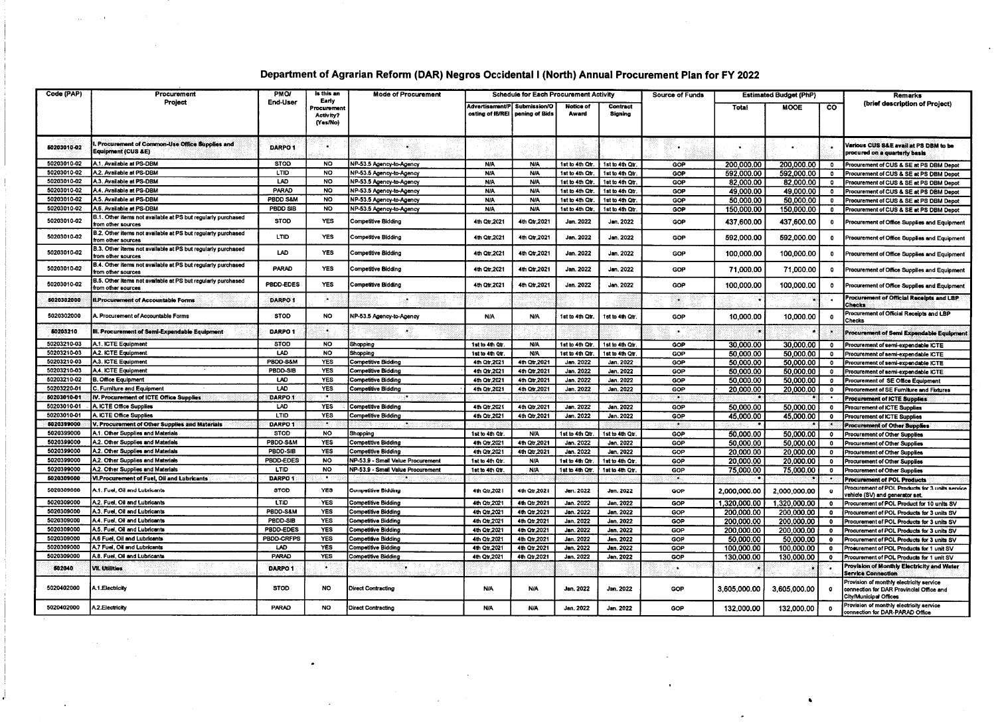## Department of Agrarian Reform (DAR) Negros Occidental I (North) Annual Procurement Plan for FY 2022

 $\sim$  $\sim 10$ 

 $\mathbf{I}$ 

 $\mathcal{A}^{\pm}$ 

| Code (PAP)               | Procurement<br>Project                                                             | <b>PMO/</b><br>End-User | is this an<br>Early<br>Procurement<br>Activity?<br>(Yes/No) | Mode of Procurement               |                                                                   | <b>Schedule for Each Procurement Activity</b> |                    |                     | <b>Source of Funds</b> | <b>Estimated Budget (PhP)</b> |              |              | Remarks                                                                                                        |
|--------------------------|------------------------------------------------------------------------------------|-------------------------|-------------------------------------------------------------|-----------------------------------|-------------------------------------------------------------------|-----------------------------------------------|--------------------|---------------------|------------------------|-------------------------------|--------------|--------------|----------------------------------------------------------------------------------------------------------------|
|                          |                                                                                    |                         |                                                             |                                   | Advertisement/P Submission/O<br>osting of IB/REI   pening of Bids |                                               | Notice of<br>Award | Contract<br>Signing |                        | Total                         | <b>MOOE</b>  | <b>CO</b>    | (brief description of Project)                                                                                 |
| 60203010-02              | . Procurement of Common-Use Office Supplies and<br><b>Equipment (CUS &amp;E)</b>   | DARPO <sub>1</sub>      | $\bullet$                                                   | ¥.                                |                                                                   |                                               |                    |                     |                        |                               |              |              | Various CUS S&E avail at PS DBM to be<br>procured on a quarterly basis                                         |
| 50203010-02              | A.1. Available at PS-DBM                                                           | <b>STOD</b>             | <b>NO</b>                                                   | NP-53.5 Agency-to-Agency          | N/A                                                               | N/A                                           | 1st to 4th Qtr.    | 1st to 4th Otr.     | GOP                    | 200.000.00                    | 200,000.00   | 0            | Procurement of CUS & SE at PS DBM Depot                                                                        |
| 50203010-02              | A.2. Available at PS-DBM                                                           | LTID                    | <b>NO</b>                                                   | NP-53.5 Agency-to-Agency          | <b>N/A</b>                                                        | <b>N/A</b>                                    | 1st to 4th Qtr     | 1st to 4th Qtr.     | GOP                    | 592,000.00                    | 592,000.00   | $\bullet$    | Procurement of CUS & SE at PS DBM Depot                                                                        |
| 50203010-02              | A.3. Available at PS-DBM                                                           | LAD.                    | NO.                                                         | NP-53.5 Agency-to-Agency          | <b>N/A</b>                                                        | <b>N/A</b>                                    | 1st to 4th Qtr.    | 1st to 4th Qtr.     | GOP                    | 82,000.00                     | 82,000.00    | $\bullet$    | Procurement of CUS & SE at PS DBM Depot                                                                        |
| 50203010-02              | A.4. Available at PS-DBM                                                           | PARAD                   | <b>NO</b>                                                   | NP-53.5 Agency-to-Agency          | <b>N/A</b>                                                        | <b>N/A</b>                                    | 1st to 4th Qtr.    | 1st to 4th Qtr.     | GOP                    | 49.000.00                     | 49.000.00    | $\bullet$    | Procurement of CUS & SE at PS DBM Depot                                                                        |
| 50203010-02              | A.5. Available at PS-DBM                                                           | PBDD S&M                | <b>NO</b>                                                   | NP-53.5 Agency-to-Agency          | N/A                                                               | <b>N/A</b>                                    | 1st to 4th Qtr     | 1st to 4th Qtr.     | GOP                    | 50.000.00                     | 50,000.00    | $\mathbf{0}$ | Procurement of CUS & SE at PS DBM Depot                                                                        |
| 50203010-02              | A.6. Available at PS-DBM                                                           | PBDD SIB                | <b>NO</b>                                                   | NP-53.5 Agency-to-Agency          | <b>N/A</b>                                                        | <b>N/A</b>                                    | 1st to 4th Qtr.    | 1st to 4th Qtr.     | GOP                    | 150,000.00                    | 150,000.00   | $^{\circ}$   | Procurement of CUS & SE at PS DBM Depot                                                                        |
| 50203010-02              | 3.1. Other items not available at PS but regularly purchased<br>rom other sources  | <b>STOD</b>             | <b>YES</b>                                                  | Competitive Bidding               | 4th Qtr, 2021                                                     | 4th Qtr.2021                                  | Jan. 2022          | Jan. 2022           | GOP                    | 437.600.00                    | 437.600.00   | 0            | Procurement of Office Supplies and Equipment                                                                   |
| 50203010-02              | 3.2. Other items not available at PS but regularly purchased<br>rom other sources  | LTID                    | <b>YES</b>                                                  | Competitive Bidding               | 4th Qtr.2021                                                      | 4th Qtr.2021                                  | Jan. 2022          | Jan. 2022           | GOP                    | 592.000.00                    | 592.000.00   | $\bullet$    | Procurement of Office Supplies and Equipment                                                                   |
| 50203010-02              | 3.3. Other items not available at PS but regularly purchased<br>rom other sources  | LAD                     | <b>YES</b>                                                  | Competitive Bidding               | 4th Qtr.2021                                                      | 4th Qtr.2021                                  | Jan. 2022          | Jan. 2022           | <b>GOP</b>             | 100.000.00                    | 100.000.00   | $\bullet$    | Procurement of Office Supplies and Equipment                                                                   |
| 50203010-02              | B.4. Other items not available at PS but regularly purchased<br>from other sources | PARAD                   | <b>YES</b>                                                  | Competitive Bidding               | 4th Qtr.2021                                                      | 4th Qtr,2021                                  | Jan. 2022          | Jan. 2022           | GOP                    | 71,000.00                     | 71.000.00    | $^{\circ}$   | Procurement of Office Supplies and Equipment                                                                   |
| 50203010-02              | 3.5. Other items not available at PS but regularly purchased<br>from other sources | PBDD-EDES               | <b>YES</b>                                                  | Competitive Bidding               | 4th Otr 2021                                                      | 4th Qtr.2021                                  | Jan. 2022          | Jan. 2022           | GOP                    | 100,000,00                    | 100,000.00   | $\bullet$    | Procurement of Office Supplies and Equipment                                                                   |
| 5020302000               | I.Procurement of Accountable Forms                                                 | DARPO <sub>1</sub>      |                                                             |                                   |                                                                   |                                               |                    |                     |                        |                               |              |              | Procurement of Official Receipts and LBP<br><b>Checks</b>                                                      |
| 5020302000               | L Procurement of Accountable Forms                                                 | <b>STOD</b>             | NO.                                                         | VP-53.5 Agency-to-Agency          | <b>N/A</b>                                                        | <b>N/A</b>                                    | ist to 4th Otr.    | 1st to 4th Otr.     | GOP                    | 10,000.00                     | 10.000.00    | $\mathbf{0}$ | Procurement of Official Receipts and LBP<br>Checks                                                             |
| 50203210                 | III. Procurement of Semi-Expendable Equipment                                      | DARPO <sub>1</sub>      | Æ.                                                          | کہ                                |                                                                   |                                               |                    |                     |                        |                               |              |              | rocurement of Semi Expendable Equipmer                                                                         |
| 50203210-03              | A.1. ICTE Equipment                                                                | <b>STOD</b>             | <b>NO</b>                                                   | Shopping                          | 1st to 4th Otr.                                                   | <b>N/A</b>                                    | 1st to 4th Otr     | 1st to 4th Otr.     | GOP                    | 30,000.00                     | 30,000.00    | $\bullet$    | Procurement of semi-expendable ICTE                                                                            |
| 50203210-03              | A.2. ICTE Equipment                                                                | LAD                     | <b>NO</b>                                                   | Shopping                          | 1st to 4th Qtr.                                                   | <b>N/A</b>                                    | 1st to 4th Qtr     | 1st to 4th Qtr.     | GOP                    | 50,000.00                     | 50,000.00    | $\bullet$    | Procurement of semi-expendable ICTE                                                                            |
| 50203210-03              | A.3. ICTE Equipment                                                                | PBDD-S&M                | YES                                                         | <b>Competitive Bidding</b>        | 4th Qtr, 2021                                                     | 4th Qtr, 2021                                 | Jan. 2022          | Jan. 2022           | GOP                    | 50,000.00                     | 50,000.00    | $\bullet$    | Procurement of semi-expendable ICTE                                                                            |
| 50203210-03              | A.4. ICTE Equipment                                                                | PBDD-SIB                | YES                                                         | <b>Competitive Bidding</b>        | 4th Qtr, 2021                                                     | 4th Qtr,2021                                  | Jan. 2022          | Jan. 2022           | GOP                    | 50.000.00                     | 50.000.00    | $^{\circ}$   | Procurement of semi-expendable ICTE                                                                            |
| 50203210-02              | 3. Office Equipment                                                                | LAD                     | YES                                                         | <b>Competitive Bidding</b>        | 4th Qtr, 2021                                                     | 4th Qtr.2021                                  | Jan. 2022          | Jan. 2022           | GOP                    | 50.000.00                     | 50,000.00    | $\bullet$    | Procurement of SE Office Equipment                                                                             |
| 50203220-01              | C. Furniture and Equipment                                                         | LAD                     | <b>YES</b>                                                  | Competitive Bidding               | 4th Qtr, 2021                                                     | 4th Qtr, 2021                                 | Jan. 2022          | Jan. 2022           | GOP                    | 20,000.00                     | 20.000.00    | $\bullet$    | Procurement of SE Furniture and Fixtures                                                                       |
| 50203010-01              | IV. Procurement of ICTE Office Supplies                                            | DARPO 1                 |                                                             |                                   |                                                                   |                                               |                    |                     |                        |                               |              |              | <b>Procurement of ICTE Supplies</b>                                                                            |
| 50203010-01              | A. ICTE Office Supplies                                                            | LAD                     | <b>YES</b>                                                  | <b>Competitive Bidding</b>        | 4th Qtr.2021                                                      | 4th Qtr.2021                                  | Jan. 2022          | Jan. 2022           | GOP                    | 50,000.00                     | 50,000.00    | $\bullet$    | Procurement of ICTE Supplies                                                                                   |
| 50203010-01              | A. ICTE Office Supplies                                                            | LTID                    | <b>YES</b><br>≈∎5 s                                         | Competitive Bidding               | 4th Otr, 2021                                                     | 4th Otr, 2021                                 | Jan. 2022          | Jan. 2022           | GOP                    | 45.000.00                     | 45.000.00    | $\bullet$    | <b>Procurement of ICTE Supplies</b>                                                                            |
| 5020399000               | V. Procurement of Other Supplies and Materials                                     | DARPO 1                 |                                                             |                                   |                                                                   |                                               |                    |                     | ಾ                      |                               |              | 焦            | Procurement of Other Supplies                                                                                  |
| 5020399000<br>5020399000 | A.1. Other Supplies and Materials                                                  | STOD                    | <b>NO</b>                                                   | Shopping                          | 1st to 4th Otr.                                                   | <b>N/A</b>                                    | 1st to 4th Otr     | 1st to 4th Qtr.     | GOP                    | 50,000.00                     | 50,000.00    | $^{\circ}$   | Procurement of Other Supplies                                                                                  |
| 5020399000               | A.2. Other Supplies and Materials                                                  | PBDD-S&M<br>PBDD-SIB    | <b>YES</b>                                                  | Competitive Bidding               | 4th Qtr, 2021                                                     | 4th Qtr.2021                                  | Jan. 2022          | Jan. 2022           | GOP                    | 50,000.00                     | 50,000.00    | $\Omega$     | Procurement of Other Supplies                                                                                  |
| 5020399000               | A.2. Other Supplies and Materials                                                  | PBDD-EDES               | YES<br><b>NO</b>                                            | Competitive Biddina               | 4th Qtr.2021                                                      | 4th Qtr,2021                                  | Jan. 2022          | Jan. 2022           | GOP                    | 20.000.00                     | 20.000.00    | $\mathbf{0}$ | Procurement of Other Supplies                                                                                  |
| 5020399000               | A.2. Other Supplies and Materials<br>A.2. Other Supplies and Materials             | LTID                    | NO.                                                         | NP-53.9 - Small Value Procurement | 1st to 4th Qtr.                                                   | <b>N/A</b>                                    | 1st to 4th Qtr.    | 1st to 4th Otr.     | GOP                    | 20.000.00                     | 20.000.00    | $\circ$      | <b>Procurement of Other Supplies</b>                                                                           |
| 5020309000               | VI.Procurement of Fuel, Oil and Lubricants                                         | DARPO <sub>1</sub>      | C€B                                                         | NP-53.9 - Small Value Procurement | 1st to 4th Qtr.                                                   | <b>N/A</b>                                    | 1st to 4th Qtr.    | 1st to 4th Qtr.     | GOP                    | 75.000.00                     | 75,000.00    | $\mathbf 0$  | Procurement of Other Supplies                                                                                  |
| 5020309000               | A.1. Fuel, Oil and Lubricants                                                      | <b>STOD</b>             | <b>YES</b>                                                  | <b>Competitive Bidding</b>        | 4th Qtr, 2021                                                     | 4th Qtr.2021                                  | Jan. 2022          | Jan. 2022           | GOP                    | 2,000,000.00                  | 2,000,000.00 | $\bullet$    | <b>Procurement of POL Products</b><br>Procurement of POL Products for 3 units service                          |
| 5020309000               | A.2. Fuel. Oil and Lubricants                                                      | <b>LTID</b>             | <b>YES</b>                                                  | Competitive Bidding               | 4th Qtr, 2021                                                     | 4th Qtr, 2021                                 | Jan. 2022          | Jan. 2022           | GOP                    | 1.320,000.00                  | 1.320.000.00 | $\mathbf{0}$ | vehicle (SV) and generator set.<br>Procurement of POL Product for 10 units SV                                  |
| 5020309000               | A.3. Fuel, Oil and Lubricants                                                      | PBDD-S&M                | <b>YES</b>                                                  | Competitive Bidding               | 4th Qtr.2021                                                      | 4th Qtr.2021                                  | Jan. 2022          | Jan. 2022           | GOP                    | 200.000.00                    | 200.000.00   | 0            | Procurement of POL Products for 3 units SV                                                                     |
| 5020309000               | A.4. Fuel, Oil and Lubricants                                                      | PBDD-SIB                | <b>YES</b>                                                  | Competitive Bidding               | 4th Qtr.2021                                                      | 4th Qtr.2021                                  | Jan. 2022          | Jan. 2022           | GOP                    | 200.000.00                    | 200.000.00   | $\bullet$    | Procurement of POL Products for 3 units SV                                                                     |
| 5020309000               | A.5. Fuel. Oil and Lubricants                                                      | <b>PBDD-EDES</b>        | <b>YES</b>                                                  | Competitive Bidding               | 4th Qtr.2021                                                      | 4th Qtr.2021                                  | Jan. 2022          | Jan. 2022           | <b>GOP</b>             | 200.000.00                    | 200.000.00   | $\bullet$    | Procurement of POL Products for 3 units SV                                                                     |
| 5020309000               | A.6 Fuel. Oil and Lubricants                                                       | PBDD-CRFPS              | <b>YES</b>                                                  | <b>Competitive Bidding</b>        | 4th Qtr, 2021                                                     | 4th Qtr,2021                                  | Jan. 2022          | Jan. 2022           | GOP                    | 50.000.00                     | 50.000.00    | $\bullet$    | Procurement of POL Products for 3 units SV                                                                     |
| 5020309000               | A.7 Fuel, Oil and Lubricants                                                       | <b>LAD</b>              | <b>YES</b>                                                  | <b>Competitive Bidding</b>        | 4th Qtr.2021                                                      | 4th Otr.2021                                  | Jan. 2022          | <b>Jan. 2022</b>    | GOP                    | 100.000.00                    | 100.000.00   | $\circ$      | Procurement of POL Products for 1 unit SV                                                                      |
| 5020309000               | A.8. Fuel, Oil and Lubricants                                                      | PARAD                   | YES                                                         | <b>Competitive Bidding</b>        | 4th Qt 2021                                                       | 4th Qtr, 2021                                 | Jan. 2022          | Jan. 2022           | GOP                    | 130.000.00                    | 130,000.00   | $\bullet$    | Procurement of POL Products for 1 unit SV                                                                      |
| 502040                   | <b>VII. Utilities</b>                                                              | DARPO <sub>1</sub>      | G.                                                          |                                   |                                                                   |                                               |                    |                     |                        |                               |              |              | Provision of Monthly Electricity and Water<br><b>Service Connection</b>                                        |
| 5020402000               | A.1. Electricity                                                                   | <b>STOD</b>             | <b>NO</b>                                                   | <b>Direct Contracting</b>         | <b>N/A</b>                                                        | N/A                                           | Jan. 2022          | Jan. 2022           | <b>GOP</b>             | 3.605,000.00                  | 3,605,000.00 | $\Omega$     | Provision of monthly electricity service<br>connection for DAR Provincial Office and<br>City/Municipal Offices |
| 5020402000               | A.2. Electricity                                                                   | PARAD                   | <b>NO</b>                                                   | <b>Direct Contracting</b>         | <b>N/A</b>                                                        | <b>N/A</b>                                    | Jan. 2022          | Jan. 2022           | GOP                    | 132.000.00                    | 132,000.00   |              | Provision of monthly electricity service<br>connection for DAR-PARAD Office                                    |

 $\mathcal{A}$ 

 $\sim 10^7$ 

 $\blacksquare$ 

 $\bullet$ 

 $\cdot$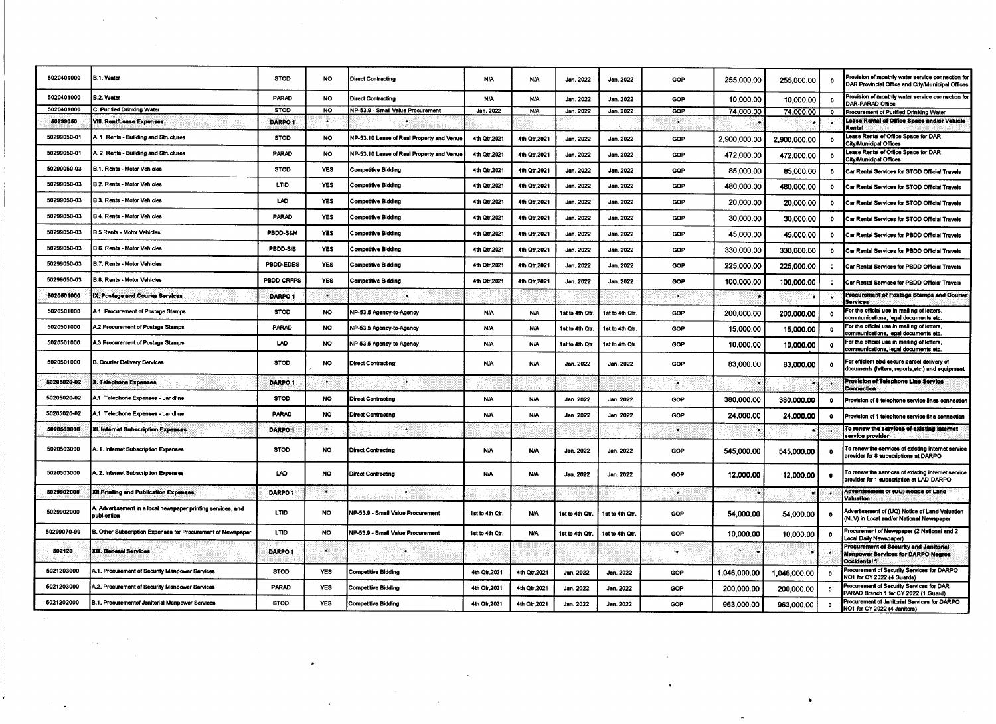| 5020401000  | B.1. Water                                                                  | <b>STOD</b>        | <b>NO</b>  | <b>Direct Contracting</b>                 | N/A             | N/A           | Jan. 2022       | Jan. 2022       | GOP | 255,000.00                  | 255,000.00   | - 0                  | Provision of monthly water service connection for<br>DAR Provincial Office and City/Municipal Offices      |
|-------------|-----------------------------------------------------------------------------|--------------------|------------|-------------------------------------------|-----------------|---------------|-----------------|-----------------|-----|-----------------------------|--------------|----------------------|------------------------------------------------------------------------------------------------------------|
| 5020401000  | B.2. Water                                                                  | PARAD              | NO         | <b>Direct Contracting</b>                 | N/A             | N/A           | Jan. 2022       | Jan. 2022       | GOP | 10,000.00                   | 10,000.00    | $\bullet$            | Provision of monthly water service connection for<br>DAR-PARAD Office                                      |
| 5020401000  | C. Purified Drinking Water                                                  | <b>STOD</b>        | <b>NO</b>  | NP-53.9 - Small Value Procurement         | Jan. 2022       | <b>N/A</b>    | Jan. 2022       | Jan. 2022       | GOP | 74.000.00                   | 74,000.00    | -0                   | Procurement of Purified Drinking Water                                                                     |
| 60299050    | VIII. Rent/Lease Expenses                                                   | DARPO <sub>1</sub> | X          |                                           |                 |               |                 |                 | 36  |                             |              | ٠٠                   | Lease Rental of Office Space and/or Vehicle<br>Rantai                                                      |
| 50299050-01 | A. 1. Rents - Building and Structures                                       | <b>STOD</b>        | NO.        | NP-53.10 Lease of Real Property and Venue | 4th Qtr, 2021   | 4th Qtr.2021  | Jan. 2022       | Jan. 2022       | GOP | 2,900,000.00                | 2,900,000.00 | - 0                  | Lease Rental of Office Space for DAR<br>City/Municipal Offices                                             |
| 50299050-01 | A. 2. Rents - Building and Structures                                       | PARAD              | <b>NO</b>  | NP-53.10 Lease of Real Property and Venue | 4th Qtr, 2021   | 4th Qtr, 2021 | Jan. 2022       | Jan. 2022       | GOP | 472,000,00                  | 472,000.00   | - 0                  | Lease Rental of Office Space for DAR<br>City/Municipal Offices                                             |
| 50299050-03 | B.1. Rents - Motor Vehicles                                                 | <b>STOD</b>        | <b>YES</b> | <b>Competitive Bidding</b>                | 4th Qtr.2021    | 4th Qtr, 2021 | Jan. 2022       | Jan. 2022       | GOP | 85,000,00                   | 85,000.00    | $\bullet$            | Car Rental Services for STOD Official Travels                                                              |
| 50299050-03 | B.2. Rents - Motor Vehicles                                                 | <b>LTID</b>        | <b>YES</b> | Competitive Bidding                       | 4th Qtr, 2021   | 4th Qtr, 2021 | Jan. 2022       | Jan. 2022       | GOP | 480,000.00                  | 480,000.00   | - 0                  | Car Rental Services for STOD Official Travels                                                              |
| 50299050-03 | <b>B.3. Rents - Motor Vehicles</b>                                          | LAD                | <b>YES</b> | Competitive Bidding                       | 4th Qtr, 2021   | 4th Qtr, 2021 | Jan. 2022       | Jan. 2022       | GOP | 20,000.00                   | 20,000.00    | $\bullet$            | Car Rental Services for STOD Official Travels                                                              |
| 50299050-03 | B.4. Rents - Motor Vehicles                                                 | PARAD              | <b>YES</b> | <b>Competitive Bidding</b>                | 4th Qtr,2021    | 4th Qtr, 2021 | Jan. 2022       | Jan. 2022       | GOP | 30,000.00                   | 30,000.00    | $\bullet$            | Car Rental Services for STOD Official Travels                                                              |
| 50299050-03 | <b>B.5 Rents - Motor Vehicles</b>                                           | PBDD-S&M           | <b>YES</b> | <b>Competitive Bidding</b>                | 4th Qtr, 2021   | 4th Qtr,2021  | Jan. 2022       | Jan. 2022       | GOP | 45,000.00                   | 45.000.00    | - 0                  | Car Rental Services for PBDD Official Travels                                                              |
| 50299050-03 | B.6. Rents - Motor Vehicles                                                 | PBDD-SIB           | <b>YES</b> | Competitive Bidding                       | 4th Otr, 2021   | 4th Qtr, 2021 | Jan. 2022       | Jan. 2022       | GOP | 330,000.00                  | 330,000.00   | - 0                  | Car Rental Services for PBDD Official Travels                                                              |
| 50299050-03 | B.7. Rents - Motor Vehicles                                                 | PBDD-EDES          | <b>YES</b> | <b>Competitive Bidding</b>                | 4th Qtr.2021    | 4th Qtr, 2021 | Jan. 2022       | Jan. 2022       | GOP | 225,000.00                  | 225,000.00   | $\bullet$            | Car Rental Services for PBDD Official Travels                                                              |
| 50299050-03 | B.8. Rents - Motor Vehicles                                                 | PBDD-CRFPS         | YES        | Competitive Bidding                       | 4th Qtr.2021    | 4th Qtr, 2021 | Jan. 2022       | Jan. 2022       | GOP | 100,000.00                  | 100,000,00   | $\bullet$            | Car Rental Services for PBDD Official Travels                                                              |
| 5020501000  | IX. Postage and Courier Services                                            | DARPO <sub>1</sub> | 80         | ंड                                        |                 |               |                 |                 | ್ಲ  |                             |              |                      | Procurement of Postage Stamps and Courier<br>Services                                                      |
| 5020501000  | .1. Procurement of Postage Stamps                                           | <b>STOD</b>        | <b>NO</b>  | NP-53.5 Agency-to-Agency                  | N/A             | <b>N/A</b>    | 1st to 4th Qtr. | 1st to 4th Qtr  | GOP | 200,000.00                  | 200,000,00   | $\bullet$            | For the official use in mailing of letters.<br>communications, legal documents etc.                        |
| 5020501000  | A.2.Procurement of Postage Stamps                                           | PARAD              | NO.        | NP-53.5 Agency-to-Agency                  | <b>N/A</b>      | <b>N/A</b>    | 1st to 4th Qtr. | 1st to 4th Qtr. | GOP | 15,000.00                   | 15,000.00    | $\mathbf{0}$         | For the official use in mailing of letters,<br>communications, legal documents etc.                        |
| 5020501000  | A.3. Procurement of Postage Stamps                                          | LAD                | <b>NO</b>  | NP-53.5 Agency-to-Agency                  | <b>N/A</b>      | <b>N/A</b>    | 1st to 4th Qtr. | 1st to 4th Qtr  | GOP | 10,000.00                   | 10,000.00    | $\bullet$            | For the official use in mailing of letters,<br>communications, legal documents etc.                        |
| 5020501000  | B. Courier Delivery Services                                                | <b>STOD</b>        | <b>NO</b>  | <b>Direct Contracting</b>                 | N/A             | <b>N/A</b>    | Jan. 2022       | Jan. 2022       | GOP | 83,000.00                   | 83,000.00    | $\ddot{\phantom{0}}$ | For efficient abd secure parcel delivery of<br>documents (letters, reports, etc.) and equipment.           |
| 60205020-02 | <b>X. Telephone Expenses</b>                                                | DARPO <sub>1</sub> | ۰.         | ⊚                                         |                 |               |                 |                 | ∵.  |                             |              |                      | Provision of Telephone Line Service<br>Connection                                                          |
| 50205020-02 | A.1. Telephone Expenses - Landline                                          | <b>STOD</b>        | <b>NO</b>  | Direct Contracting                        | <b>N/A</b>      | <b>N/A</b>    | Jan. 2022       | Jan. 2022       | GOP | 380,000.00                  | 380,000.00   | $\bullet$            | Provision of 8 telephone service lines connection                                                          |
| 50205020-02 | A.1. Telephone Expenses - Landline                                          | PARAD              | <b>NO</b>  | Direct Contracting                        | <b>N/A</b>      | <b>N/A</b>    | Jan. 2022       | Jan. 2022       | GOP | 24,000.00                   | 24,000.00    | $\bullet$            | Provision of 1 telephone service line connection                                                           |
| 5020503000  | XI. Internet Subscription Expenses                                          | DARPO <sub>1</sub> | ÷.         | ¥.                                        |                 |               |                 |                 | XУ. |                             |              |                      | To renew the services of existing internet<br>service provider                                             |
| 5020503000  | A. 1. Internet Subscription Expenses                                        | <b>STOD</b>        | NO         | <b>Direct Contracting</b>                 | N/A             | <b>N/A</b>    | Jan. 2022       | Jan. 2022       | GOP | 545,000.00                  | 545,000.00   | $\mathbf{0}$         | To renew the services of existing internet service<br>provider for 8 subscriptions at DARPO                |
| 5020503000  | A. 2. Internet Subscription Expenses                                        | LAD                | <b>NO</b>  | <b>Direct Contracting</b>                 | N/A             | N/A           | Jan. 2022       | Jan. 2022       | GOP | 12,000.00                   | 12,000.00    | $\Omega$             | To renew the services of existing internet service<br>provider for 1 subscription at LAD-DARPO             |
| 5029902000  | <b>XII.Printing and Publication Expenses</b>                                | DARPO <sub>1</sub> | $\bullet$  |                                           |                 |               |                 |                 | w   |                             |              |                      | Advertisement of (UQ) Notice of Land<br>Valuation                                                          |
| 5029902000  | A. Advertisement in a local newspaper,printing services, and<br>publication | <b>LTID</b>        | <b>NO</b>  | NP-53.9 - Small Value Procurement         | 1st to 4th Qtr. | <b>N/A</b>    | 1st to 4th Qtr. | 1st to 4th Qtr  | GOP | 54,000.00                   | 54,000.00    | $\bullet$            | Advertisement of (UQ) Notice of Land Valuation<br>(NLV) in Local and/or National Newspaper                 |
| 50299070-99 | 3. Other Subscription Expenses for Procurement of Newspaper                 | LTID               | NO.        | NP-53.9 - Small Value Procurement         | 1st to 4th Qtr. | <b>N/A</b>    | 1st to 4th Qtr. | 1st to 4th Qtr  | GOP | 10,000.00                   | 10,000.00    | $\bullet$            | Procurement of Newspaper (2 National and 2<br>Local Daily Newspaper)                                       |
| 502120      | <b>XIII. General Services</b>                                               | DARPO <sub>1</sub> | W.         | ್                                         |                 |               |                 |                 | ु   | $\mathcal{A}_{\mathcal{A}}$ |              |                      | Procurement of Security and Janitorial<br><b>Manpower Services for DARPO Negros</b><br><b>Occidental 1</b> |
| 5021203000  | A.1. Procurement of Security Manpower Services                              | <b>STOD</b>        | <b>YES</b> | Competitive Bidding                       | 4th Qtr.2021    | 4th Qtr.2021  | Jan. 2022       | Jan. 2022       | GOP | 1,046,000.00                | 1,046,000.00 | $^{\circ}$           | Procurement of Security Services for DARPO<br>NO1 for CY 2022 (4 Guards)                                   |
| 5021203000  | 4.2. Procurement of Security Manpower Services                              | PARAD              | <b>YES</b> | Competitive Bidding                       | 4th Qtr, 2021   | 4th Qtr.2021  | Jan. 2022       | Jan. 2022       | GOP | 200,000.00                  | 200,000.00   | $\bullet$            | Procurement of Security Services for DAR<br>PARAD Branch 1 for CY 2022 (1 Guard)                           |
| 5021202000  | B.1. Procurementof Janitorial Manpower Services                             | <b>STOD</b>        | <b>YES</b> | Competitive Bidding                       | 4th Qtr, 2021   | 4th Otr.2021  | Jan. 2022       | Jan. 2022       | GOP | 963,000.00                  | 963,000.00   | $\bullet$            | Procurement of Janitorial Services for DARPO<br>NO1 for CY 2022 (4 Janitors)                               |

and the control of the control of

 $\mathcal{L}(\mathcal{L})$  and  $\mathcal{L}(\mathcal{L})$  .

 $\label{eq:2.1} \frac{1}{\sqrt{2}}\sum_{i=1}^n\frac{1}{\sqrt{2}}\sum_{i=1}^n\frac{1}{\sqrt{2}}\sum_{i=1}^n\frac{1}{\sqrt{2}}\sum_{i=1}^n\frac{1}{\sqrt{2}}\sum_{i=1}^n\frac{1}{\sqrt{2}}\sum_{i=1}^n\frac{1}{\sqrt{2}}\sum_{i=1}^n\frac{1}{\sqrt{2}}\sum_{i=1}^n\frac{1}{\sqrt{2}}\sum_{i=1}^n\frac{1}{\sqrt{2}}\sum_{i=1}^n\frac{1}{\sqrt{2}}\sum_{i=1}^n\frac$ 

 $\label{eq:2.1} \frac{1}{\sqrt{2\pi}}\int_{\mathbb{R}^3}\frac{1}{\sqrt{2\pi}}\int_{\mathbb{R}^3}\frac{1}{\sqrt{2\pi}}\int_{\mathbb{R}^3}\frac{1}{\sqrt{2\pi}}\int_{\mathbb{R}^3}\frac{1}{\sqrt{2\pi}}\int_{\mathbb{R}^3}\frac{1}{\sqrt{2\pi}}\int_{\mathbb{R}^3}\frac{1}{\sqrt{2\pi}}\int_{\mathbb{R}^3}\frac{1}{\sqrt{2\pi}}\int_{\mathbb{R}^3}\frac{1}{\sqrt{2\pi}}\int_{\mathbb{R}^3}\frac{1$ 

 $\label{eq:2.1} \frac{1}{\sqrt{2}}\int_{\mathbb{R}^3}\frac{1}{\sqrt{2}}\left(\frac{1}{\sqrt{2}}\right)^2\frac{1}{\sqrt{2}}\left(\frac{1}{\sqrt{2}}\right)^2\frac{1}{\sqrt{2}}\left(\frac{1}{\sqrt{2}}\right)^2.$ 

 $\label{eq:2.1} \mathcal{L}_{\mathcal{A}}(\mathcal{A})=\mathcal{L}_{\mathcal{A}}(\mathcal{A})\otimes\mathcal{L}_{\mathcal{A}}(\mathcal{A})\otimes\mathcal{L}_{\mathcal{A}}(\mathcal{A}).$ 

 $\sim 10^{-10}$ 

 $\mathcal{O}(\mathcal{O}(\log n))$  . The set of  $\mathcal{O}(\log n)$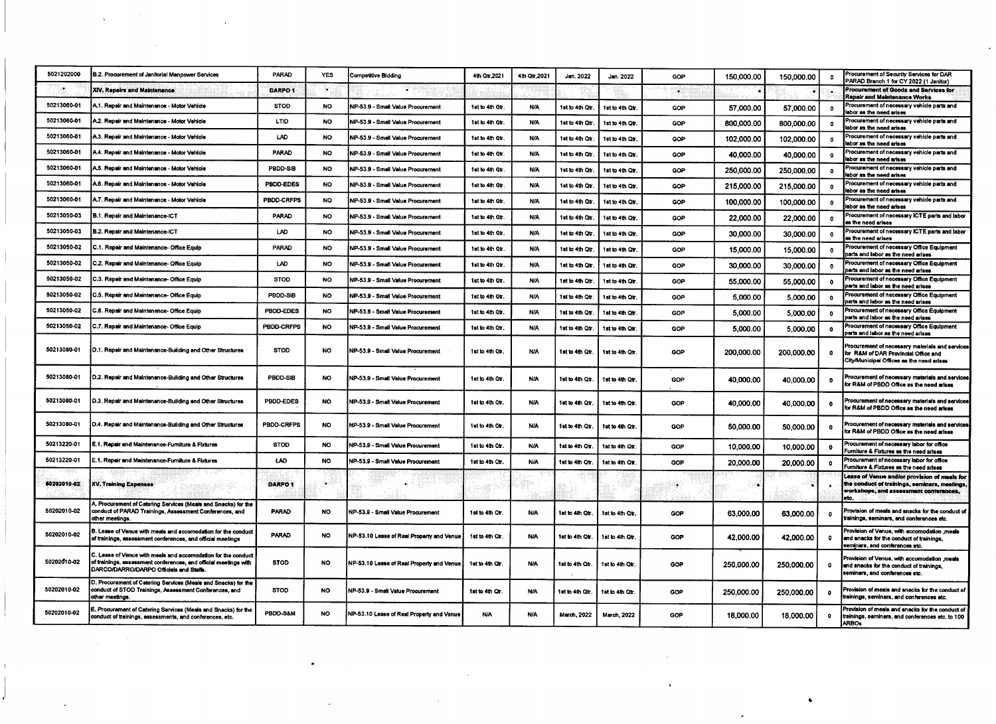| 5021202000  | B.2. Procurement of Janitorial Manpower Services                                                                                                                            | <b>PARAD</b>       | <b>YES</b> | <b>Competitive Bidding</b>                | 4th Qtr, 2021   | 4th Qtr.2021 | Jan. 2022       | Jan. 2022       | GOP | 150,000.00 | 150,000,00 | $\mathbf{r}$ | Procurement of Security Services for DAR<br>PARAD Branch 1 for CY 2022 (1 Janitor)                                                               |
|-------------|-----------------------------------------------------------------------------------------------------------------------------------------------------------------------------|--------------------|------------|-------------------------------------------|-----------------|--------------|-----------------|-----------------|-----|------------|------------|--------------|--------------------------------------------------------------------------------------------------------------------------------------------------|
|             | <b>XIV. Repairs and Maintenance</b>                                                                                                                                         | DARPO <sub>1</sub> | ∾          | $\bullet$                                 |                 |              |                 |                 | ್   |            |            |              | Procurement of Goods and Services for<br>Repair and Maintenance Works                                                                            |
| 50213060-01 | A.1. Repair and Maintenance - Motor Vehicle                                                                                                                                 | <b>STOD</b>        | NO.        | NP 53.9 - Small Value Procurement         | 1st to 4th Qtr. | N/A          | ist to 4th Qtr. | 1st to 4th Qt.  | GOP | 57,000.00  | 57,000.00  | $\bullet$    | Procurement of necessary vehicle parts and<br>labor as the need arises                                                                           |
| 50213060-01 | A.2. Repair and Maintenance - Motor Vehicle                                                                                                                                 | LTID.              | NO.        | NP-53.9 - Small Value Procurement         | 1st to 4th Otr. | <b>N/A</b>   | 1st to 4th Qtr. | 1st to 4th Otr  | GOP | 800,000.00 | 800,000,00 | $^{\circ}$   | Procurement of necessary vehicle parts and<br>labor as the need arises                                                                           |
| 50213060-01 | A.3. Repair and Maintenance - Motor Vehicle                                                                                                                                 | LAD                | NO.        | NP-53.9 - Small Value Procurement         | 1st to 4th Qtr. | N/A          | 1st to 4th Qtr. | 1st to 4th Qtr  | GOP | 102.000.00 | 102,000.00 | $\bullet$    | Procurement of necessary vehicle parts and<br>labor as the need arises                                                                           |
| 50213060-01 | A.4. Repair and Maintenance - Motor Vehicle                                                                                                                                 | PARAD              | <b>NO</b>  | NP-53.9 - Small Value Procurement         | 1st to 4th Qtr. | N/A          | 1st to 4th Qtr. | 1st to 4th Otr. | GOP | 40,000.00  | 40.000.00  | $\bullet$    | Procurement of necessary vehicle parts and<br>labor as the need arises                                                                           |
| 50213060-01 | A.5. Repair and Maintenance - Motor Vehicle                                                                                                                                 | PBDD-SIB           | <b>NO</b>  | NP-53.9 - Small Value Procurement         | 1st to 4th Qtr. | <b>N/A</b>   | 1st to 4th Qtr. | 1st to 4th Qtr. | GOP | 250,000.00 | 250,000,00 | $\bullet$    | Procurement of necessary vehicle parts and<br>labor as the need arises                                                                           |
| 50213060-01 | A.6. Repair and Maintenance - Motor Vehicle                                                                                                                                 | PBDD-EDES          | NO.        | NP-53.9 - Small Value Procurement         | 1st to 4th Qtr. | <b>N/A</b>   | 1st to 4th Qtr. | 1st to 4th Qtr. | GOP | 215,000.00 | 215,000.00 | $\bullet$    | Procurement of necessary vehicle parts and<br>labor as the need arises                                                                           |
| 50213060-01 | A.7. Repair and Maintenance - Motor Vehicle                                                                                                                                 | PBDD-CRFPS         | NO.        | NP-53.9 - Small Value Procurement         | 1st to 4th Qtr. | <b>N/A</b>   | 1st to 4th Qtr. | 1st to 4th Qtr. | GOP | 100,000.00 | 100.000.00 | $\mathbf{o}$ | Procurement of necessary vehicle parts and<br>labor as the need arises                                                                           |
| 50213050-03 | B.1. Repair and Maintenance-ICT                                                                                                                                             | PARAD              | <b>NO</b>  | NP-53.9 - Small Value Procurement         | 1st to 4th Otr. | <b>N/A</b>   | 1st to 4th Qtr. | 1st to 4th Qtr. | GOP | 22,000.00  | 22,000.00  | $\mathbf{0}$ | Procurement of necessary ICTE parts and labor<br>as the need arises                                                                              |
| 50213050-03 | B.2. Repair and Maintenance-ICT                                                                                                                                             | LAD                | NO.        | NP-53.9 - Small Value Procurement         | 1st to 4th Otr. | <b>N/A</b>   | 1st to 4th Qtr. | 1st to 4th Otr. | GOP | 30,000.00  | 30,000.00  | $\mathbf{a}$ | Procurement of necessary ICTE parts and labor<br>as the need arises                                                                              |
| 50213050-02 | C.1. Repair and Maintenance-Office Equip                                                                                                                                    | <b>PARAD</b>       | <b>NO</b>  | NP-53.9 - Small Value Procurement         | 1st to 4th Qtr. | <b>N/A</b>   | ist to 4th Qtr. | ist to 4th Otr. | COP | 15,000.00  | 15,000.00  | $\bullet$    | Procurement of necessary Office Equipment<br>parts and labor as the need arises                                                                  |
| 50213050-02 | C.2. Repair and Maintenance-Office Equip                                                                                                                                    | LAD                | NO.        | NP-53.9 - Small Value Procurement         | 1st to 4th Qtr. | N/A          | ist to 4th Qtr. | ist to 4th Qtr  | GOP | 30,000.00  | 30.000.00  | $\bullet$    | Procurement of necessary Office Equipment<br>parts and labor as the need arises                                                                  |
| 50213050-02 | C.3. Repair and Maintenance- Office Equip                                                                                                                                   | <b>STOD</b>        | <b>NO</b>  | NP-53.9 - Small Value Procurement         | 1st to 4th Qtr. | <b>N/A</b>   | ist to 4th Otr. | 1st to 4th Qtr. | GOP | 55,000.00  | 55,000.00  | $\bullet$    | Procurement of necessary Office Equipment<br>parts and labor as the need arises                                                                  |
| 50213050-02 | C.5. Repair and Maintenance- Office Equip                                                                                                                                   | PBDD-SIB           | NO.        | NP-53.9 - Small Value Procurement         | 1st to 4th Qtr. | <b>N/A</b>   | 1st to 4th Qtr. | 1st to 4th Qtr. | GOP | 5,000.00   | 5,000.00   | $\bullet$    | Procurement of necessary Office Equipment<br>arts and labor as the need arises                                                                   |
| 50213050-02 | C.6. Repair and Maintenance- Office Equip                                                                                                                                   | PBDD-EDES          | <b>NO</b>  | NP-53.9 - Small Value Procurement         | 1st to 4th Qtr. | N/A          | 1st to 4th Qtr. | 1st to 4th Qtr. | GOP | 5,000.00   | 5,000.00   | $\bullet$    | Procurement of necessary Office Equipment<br>parts and labor as the need arises                                                                  |
| 50213050-02 | C.7. Repair and Maintenance-Office Equip                                                                                                                                    | PBDD-CRFPS         | <b>NO</b>  | NP-53.9 - Small Value Procurement         | 1st to 4th Qtr. | N/A          | ist to 4th Qtr. | 1st to 4th Otr. | GOP | 5,000.00   | 5,000.00   | $\bullet$    | Procurement of necessary Office Equipment<br>parts and labor as the need arises                                                                  |
| 50213080-01 | D.1. Repair and Maintenance-Building and Other Structures                                                                                                                   | <b>STOD</b>        | NO.        | NP-53.9 - Small Value Procurement         | 1st to 4th Qtr. | N/A          | 1st to 4th Qtr. | 1st to 4th Otr  | GOP | 200,000.00 | 200,000.00 | $\mathbf{a}$ | Procurement of necessary materials and services<br>for R&M of DAR Provincial Office and<br>City/Municipal Offices as the need arises             |
| 50213080-01 | D.2. Repair and Maintenance-Building and Other Structures                                                                                                                   | PBDD-SIB           | <b>NO</b>  | NP-53.9 - Small Value Procurement         | 1st to 4th Otr. | <b>N/A</b>   | 1st to 4th Qtr. | 1st to 4th Qtr. | GOP | 40,000.00  | 40,000.00  | $\bullet$    | Procurement of necessary materials and services<br>for R&M of PBDD Office as the need arises                                                     |
| 50213080-01 | D.3. Repair and Maintenance-Building and Other Structures                                                                                                                   | PBDD-EDES          | NO.        | NP-53.9 - Small Value Procurement         | 1st to 4th Qtr. | <b>N/A</b>   | 1st to 4th Qtr. | 1st to 4th Otr  | GOP | 40,000.00  | 40,000.00  | $\mathbf{0}$ | Procurement of necessary materials and services<br>for R&M of PBDD Office as the need arises                                                     |
| 50213080-01 | D.4. Repair and Maintenance-Building and Other Structures                                                                                                                   | PBDD-CRFPS         | <b>NO</b>  | NP-53.9 - Small Value Procurement         | 1st to 4th Otr. | <b>N/A</b>   | 1st to 4th Qtr. | 1st to 4th Qtr  | GOP | 50,000.00  | 50,000.00  | $\Omega$     | Procurement of necessary materials and services<br>for R&M of PBDD Office as the need arises                                                     |
| 50213220-01 | E.1. Repair and Maintenance-Furniture & Fixtures                                                                                                                            | <b>STOD</b>        | <b>NO</b>  | NP-53.9 - Small Value Procurement         | 1st to 4th Qtr. | <b>N/A</b>   | 1st to 4th Otr. | 1st to 4th Qtr. | GOP | 10,000.00  | 10,000.00  | $\bullet$    | Procurement of necessary labor for office<br>urniture & Fixtures as the need arises                                                              |
| 50213220-01 | .1. Repair and Maintenance-Furniture & Fixtures                                                                                                                             | LAD                | <b>NO</b>  | NP-53.9 - Small Value Procurement         | 1st to 4th Qtr. | N/A          | 1st to 4th Qtr. | 1st to 4th Otr  | GOP | 20,000.00  | 20,000.00  | $\bullet$    | Procurement of necessary labor for office<br>Furniture & Fixtures as the need arises                                                             |
| 60202010-02 | <b>XV. Training Expenses</b>                                                                                                                                                | DARPO <sub>1</sub> | ۵.         |                                           |                 |              |                 |                 |     |            |            |              | Lease of Venue and/or provision of meals for<br>the conduct of trainings, seminars, meetings,<br>workshops, and assessment conferences,<br>letc. |
| 50202010-02 | A. Procurement of Catering Services (Meals and Snacks) for the<br>conduct of PARAD Trainings, Assessment Conferences, and<br>other meetings.                                | PARAD              | NO         | NP-53.9 - Small Value Procurement         | 1st to 4th Qtr. | <b>N/A</b>   | 1st to 4th Qtr. | 1st to 4th Otr. | GOP | 63,000.00  | 63,000.00  | $\bullet$    | Provision of meals and snacks for the conduct of<br>trainings, seminars, and conferences etc.                                                    |
| 50202010-02 | . Lease of Venue with meals and accomodation for the conduct<br>of trainings, assessment conferences, and official meetings                                                 | PARAD              | <b>NO</b>  | NP-53.10 Lease of Real Property and Venue | 1st to 4th Qtr. | <b>N/A</b>   | 1st to 4th Otr. | 1st to 4th Qtr. | GOP | 42,000.00  | 42,000.00  | $^{\circ}$   | meals - Yovision of Venue, with accomodation.<br>and snacks for the conduct of trainings.<br>seminars, and conferences etc.                      |
| 50202010-02 | . Lease of Venue with meals and accomodation for the conduct<br>of trainings, assessment conferences, and official meetings with<br>DARCO/DARRO/DARPO Officials and Staffs. | <b>STOD</b>        | NO         | NP-53.10 Lease of Real Property and Venue | 1st to 4th Qtr. | <b>N/A</b>   | 1st to 4th Qtr. | 1st to 4th Otr  | GOP | 250,000.00 | 250,000.00 | $\bullet$    | meals, Provision of Venue, with accomodation<br>and snacks for the conduct of trainings,<br>seminars, and conferences etc.                       |
| 50202010-02 | D. Procurement of Catering Services (Meals and Snacks) for the<br>conduct of STOD Trainings, Assessment Conferences, and<br>other meetings.                                 | <b>STOD</b>        | NO         | NP-53.9 - Small Value Procurement         | 1st to 4th Qtr. | <b>N/A</b>   | 1st to 4th Qtr. | 1st to 4th Qtr. | GOP | 250,000.00 | 250,000.00 | $\bullet$    | Provision of meals and snacks for the conduct of<br>rainings, seminars, and conferences etc.                                                     |
| 50202010-02 | E. Procurement of Catering Services (Meals and Snacks) for the<br>conduct of trainings, assessments, and conferences, etc.                                                  | PBDD-S&M           | NO.        | NP-53.10 Lease of Real Property and Venue | <b>N/A</b>      | <b>N/A</b>   | March, 2022     | March, 2022     | GOP | 18,000.00  | 18,000.00  | $\mathbf{0}$ | Provision of meals and snacks for the conduct of<br>trainings, seminars, and conferences etc. to 100<br><b>ARBOs</b>                             |

 $\label{eq:2.1} \mathcal{L}(\mathcal{L}^{\mathcal{L}}_{\mathcal{L}}(\mathcal{L}^{\mathcal{L}}_{\mathcal{L}})) = \mathcal{L}(\mathcal{L}^{\mathcal{L}}_{\mathcal{L}}(\mathcal{L}^{\mathcal{L}}_{\mathcal{L}})) = \mathcal{L}(\mathcal{L}^{\mathcal{L}}_{\mathcal{L}}(\mathcal{L}^{\mathcal{L}}_{\mathcal{L}}))$ 

 $\mathcal{L}(\mathcal{L})$  and  $\mathcal{L}(\mathcal{L})$  . The  $\mathcal{L}(\mathcal{L})$ 

 $\label{eq:2.1} \mathcal{L}=\frac{1}{2}\sum_{i=1}^n\frac{1}{2}\sum_{j=1}^n\frac{1}{2}\sum_{j=1}^n\frac{1}{2}\sum_{j=1}^n\frac{1}{2}\sum_{j=1}^n\frac{1}{2}\sum_{j=1}^n\frac{1}{2}\sum_{j=1}^n\frac{1}{2}\sum_{j=1}^n\frac{1}{2}\sum_{j=1}^n\frac{1}{2}\sum_{j=1}^n\frac{1}{2}\sum_{j=1}^n\frac{1}{2}\sum_{j=1}^n\frac{1}{2}\sum_{j=1}^n\frac{1}{2}\sum_{j$ 

 $\label{eq:2.1} \frac{1}{\sqrt{2}}\int_{\mathbb{R}^3}\frac{1}{\sqrt{2}}\left(\frac{1}{\sqrt{2}}\right)^2\frac{1}{\sqrt{2}}\left(\frac{1}{\sqrt{2}}\right)^2\frac{1}{\sqrt{2}}\left(\frac{1}{\sqrt{2}}\right)^2\frac{1}{\sqrt{2}}\left(\frac{1}{\sqrt{2}}\right)^2\frac{1}{\sqrt{2}}\left(\frac{1}{\sqrt{2}}\right)^2\frac{1}{\sqrt{2}}\frac{1}{\sqrt{2}}\frac{1}{\sqrt{2}}\frac{1}{\sqrt{2}}\frac{1}{\sqrt{2}}\frac{1}{\sqrt{2}}$ 

 $\mathbb T$  .

 $\mathcal{L}(\mathcal{A})$  .